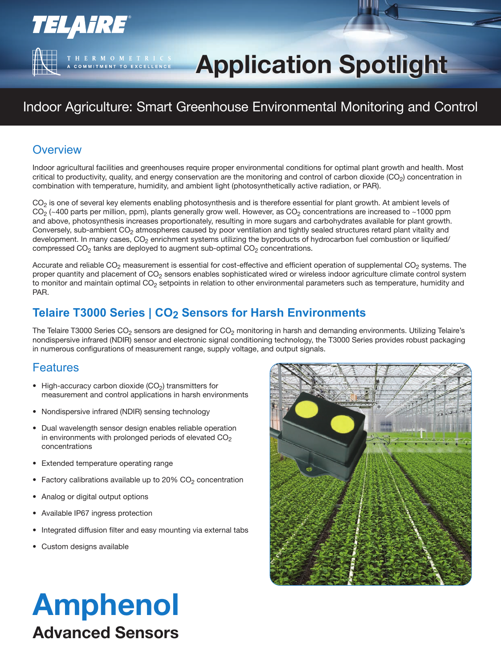# **Application Spotlight Application Spotlight**

### Indoor Agriculture: Smart Greenhouse Environmental Monitoring and Control

#### **Overview**

**TELAIRE®** 

T H E R M O M E T R I C S<br>A COMMITMENT TO EXCELLENCE

Indoor agricultural facilities and greenhouses require proper environmental conditions for optimal plant growth and health. Most critical to productivity, quality, and energy conservation are the monitoring and control of carbon dioxide ( $CO<sub>2</sub>$ ) concentration in combination with temperature, humidity, and ambient light (photosynthetically active radiation, or PAR).

 $CO<sub>2</sub>$  is one of several key elements enabling photosynthesis and is therefore essential for plant growth. At ambient levels of  $CO_2$  (~400 parts per million, ppm), plants generally grow well. However, as  $CO_2$  concentrations are increased to ~1000 ppm and above, photosynthesis increases proportionately, resulting in more sugars and carbohydrates available for plant growth. Conversely, sub-ambient  $CO<sub>2</sub>$  atmospheres caused by poor ventilation and tightly sealed structures retard plant vitality and development. In many cases, CO<sub>2</sub> enrichment systems utilizing the byproducts of hydrocarbon fuel combustion or liquified/ compressed  $CO<sub>2</sub>$  tanks are deployed to augment sub-optimal  $CO<sub>2</sub>$  concentrations.

Accurate and reliable  $CO<sub>2</sub>$  measurement is essential for cost-effective and efficient operation of supplemental  $CO<sub>2</sub>$  systems. The proper quantity and placement of  $CO<sub>2</sub>$  sensors enables sophisticated wired or wireless indoor agriculture climate control system to monitor and maintain optimal CO<sub>2</sub> setpoints in relation to other environmental parameters such as temperature, humidity and PAR.

#### **Telaire T3000 Series | CO2 Sensors for Harsh Environments**

The Telaire T3000 Series CO<sub>2</sub> sensors are designed for CO<sub>2</sub> monitoring in harsh and demanding environments. Utilizing Telaire's nondispersive infrared (NDIR) sensor and electronic signal conditioning technology, the T3000 Series provides robust packaging in numerous configurations of measurement range, supply voltage, and output signals.

#### Features

- High-accuracy carbon dioxide  $(CO<sub>2</sub>)$  transmitters for measurement and control applications in harsh environments
- Nondispersive infrared (NDIR) sensing technology
- Dual wavelength sensor design enables reliable operation in environments with prolonged periods of elevated  $CO<sub>2</sub>$ concentrations
- Extended temperature operating range
- Factory calibrations available up to 20%  $CO<sub>2</sub>$  concentration
- Analog or digital output options
- Available IP67 ingress protection
- Integrated diffusion filter and easy mounting via external tabs
- Custom designs available



## Amphenol Advanced Sensors